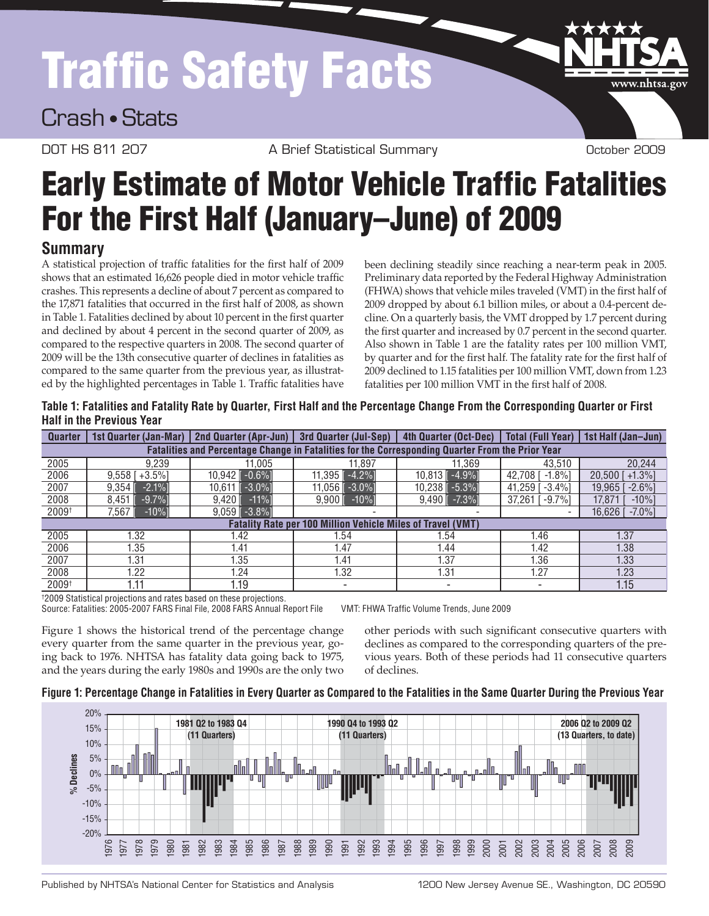# Traffic Safety Facts

Crash • Stats

DOT HS 811 207 A Brief Statistical Summary Cotober 2009

www.nhtsa.gov

# **Early Estimate of Motor Vehicle Traffic Fatalities** For the First Half (January–June) of 2009

# **Summary**

A statistical projection of traffic fatalities for the first half of 2009 shows that an estimated 16,626 people died in motor vehicle traffic crashes. This represents a decline of about 7 percent as compared to the 17,871 fatalities that occurred in the first half of 2008, as shown in Table 1. Fatalities declined by about 10 percent in the first quarter and declined by about 4 percent in the second quarter of 2009, as compared to the respective quarters in 2008. The second quarter of 2009 will be the 13th consecutive quarter of declines in fatalities as compared to the same quarter from the previous year, as illustrated by the highlighted percentages in Table 1. Traffic fatalities have

been declining steadily since reaching a near-term peak in 2005. Preliminary data reported by the Federal Highway Administration (FHWA) shows that vehicle miles traveled (VMT) in the first half of 2009 dropped by about 6.1 billion miles, or about a 0.4-percent decline. On a quarterly basis, the VMT dropped by 1.7 percent during the first quarter and increased by 0.7 percent in the second quarter. Also shown in Table 1 are the fatality rates per 100 million VMT, by quarter and for the first half. The fatality rate for the first half of 2009 declined to 1.15 fatalities per 100 million VMT, down from 1.23 fatalities per 100 million VMT in the first half of 2008.

**Table 1: Fatalities and Fatality Rate by Quarter, First Half and the Percentage Change From the Corresponding Quarter or First Half in the Previous Year**

| <b>Quarter</b>                                                                                   | 1st Quarter (Jan-Mar)             | <b>2nd Quarter (Apr-Jun)</b>     | 3rd Quarter (Jul-Sep)    | 4th Quarter (Oct-Dec) | <b>Total (Full Year)</b> | 1st Half (Jan-Jun)           |
|--------------------------------------------------------------------------------------------------|-----------------------------------|----------------------------------|--------------------------|-----------------------|--------------------------|------------------------------|
| Fatalities and Percentage Change in Fatalities for the Corresponding Quarter From the Prior Year |                                   |                                  |                          |                       |                          |                              |
| 2005                                                                                             | 9.239                             | 11.005                           | 11.897                   | 11.369                | 43.510                   | 20,244                       |
| 2006                                                                                             | $+3.5%$<br>$9.558$ $\overline{1}$ | $-0.6%$ ]<br>10.942 ∥            | $-4.2%$ ]<br>11.395      | 10,813 -4.9%]         | $-1.8%$<br>42.708        | $20.500$ $\Gamma$<br>$+1.3%$ |
| 2007                                                                                             | $-2.1%$<br>9.354                  | $-3.0\%$<br>10.611               | 11.056 ll<br>$-3.0\%$    | $10,238$ [ $-5.3%$ ]  | 41.259<br>$-3.4\%$       | 19.965<br>$-2.6\%$           |
| 2008                                                                                             | $-9.7%$<br>8.451                  | $-11%$<br>$9.420$ $\overline{1}$ | $-10%$<br>9.9001         | $9.490$ $-7.3\%$      | 37.261 [<br>$-9.7%$      | 17.871<br>$-10%$             |
| 2009 <sup>†</sup>                                                                                | 7.567<br>$-10%$                   | $9.059$ $-3.8\%$                 |                          |                       |                          | $-7.0\%$ ]<br>16.626 l       |
| <b>Fatality Rate per 100 Million Vehicle Miles of Travel (VMT)</b>                               |                                   |                                  |                          |                       |                          |                              |
| 2005                                                                                             | .32                               | l.42                             | .54                      | .54                   | 1.46                     | 1.37                         |
| 2006                                                                                             | 1.35                              | 1.41                             | 1.47                     | l.44                  | 1.42                     | 1.38                         |
| 2007                                                                                             | 31.،                              | 1.35                             | 1.41                     | 1.37                  | 1.36                     | 1.33                         |
| 2008                                                                                             | 1.22                              | 1.24                             | 1.32                     | 1.31                  | 1.27                     | 1.23                         |
| 2009 <sup>†</sup>                                                                                | 1.11                              | 1.19                             | $\overline{\phantom{a}}$ |                       |                          | 1.15                         |

† 2009 Statistical projections and rates based on these projections.

Source: Fatalities: 2005-2007 FARS Final File, 2008 FARS Annual Report File VMT: FHWA Traffic Volume Trends, June 2009

Figure 1 shows the historical trend of the percentage change every quarter from the same quarter in the previous year, going back to 1976. NHTSA has fatality data going back to 1975, and the years during the early 1980s and 1990s are the only two

other periods with such significant consecutive quarters with declines as compared to the corresponding quarters of the previous years. Both of these periods had 11 consecutive quarters of declines.





Published by NHTSA's National Center for Statistics and Analysis 1200 New Jersey Avenue SE., Washington, DC 20590